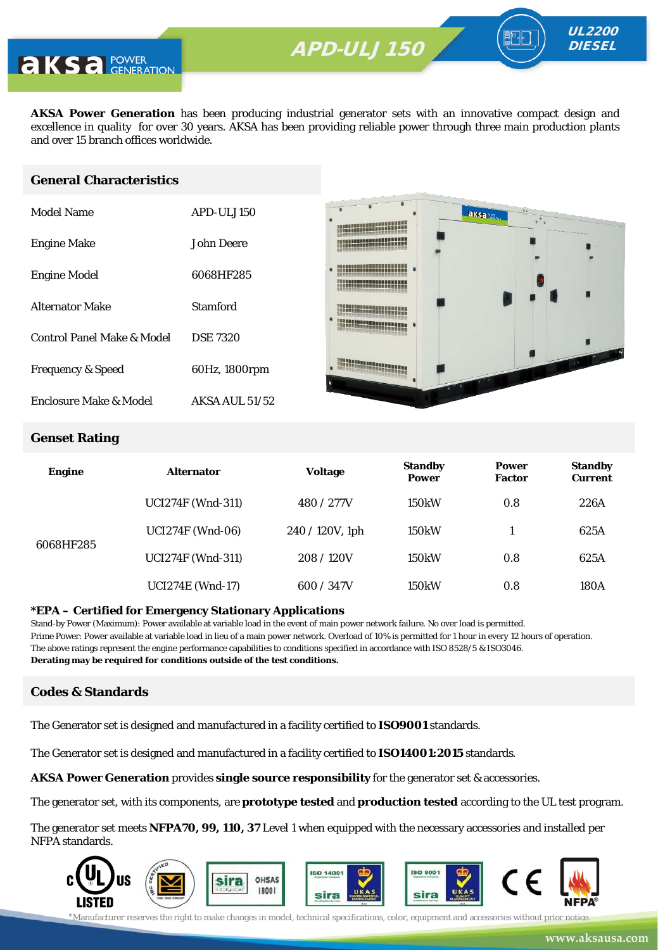

**AKSA Power Generation** has been producing industrial generator sets with an innovative compact design and excellence in quality for over 30 years. AKSA has been providing reliable power through three main production plants and over 15 branch offices worldwide.

#### **General Characteristics**

| Model Name                   | APD-ULJ150            |
|------------------------------|-----------------------|
| <b>Engine Make</b>           | John Deere            |
| <b>Engine Model</b>          | 6068HF285             |
| <b>Alternator Make</b>       | Stamford              |
| Control Panel Make & Model   | <b>DSE 7320</b>       |
| <b>Frequency &amp; Speed</b> | 60Hz, 1800rpm         |
| Enclosure Make & Model       | <b>AKSA AUL 51/52</b> |



UL2200 **DIESEL** 

#### **Genset Rating**

| <b>Engine</b> | <b>Alternator</b>        | <b>Voltage</b>     | <b>Standby</b><br><b>Power</b> | <b>Power</b><br><b>Factor</b> | <b>Standby</b><br><b>Current</b> |
|---------------|--------------------------|--------------------|--------------------------------|-------------------------------|----------------------------------|
|               | <b>UCI274F (Wnd-311)</b> | 480 / 277V         | <b>150kW</b>                   | 0.8                           | 226A                             |
| 6068HF285     | <b>UCI274F</b> (Wnd-06)  | $240 / 120V$ , 1ph | 150 <sub>k</sub> W             |                               | 625A                             |
|               | <b>UCI274F (Wnd-311)</b> | 208/120V           | <b>150kW</b>                   | 0.8                           | 625A                             |
|               | <b>UCI274E</b> (Wnd-17)  | 600 / 347V         | 150 <sub>k</sub> W             | 0.8                           | 180A                             |

#### **\*EPA – Certified for Emergency Stationary Applications**

Stand-by Power (Maximum): Power available at variable load in the event of main power network failure. No over load is permitted. Prime Power: Power available at variable load in lieu of a main power network. Overload of 10% is permitted for 1 hour in every 12 hours of operation. The above ratings represent the engine performance capabilities to conditions specified in accordance with ISO 8528/5 & ISO3046. **Derating may be required for conditions outside of the test conditions.**

#### **Codes & Standards**

The Generator set is designed and manufactured in a facility certified to **ISO9001** standards.

The Generator set is designed and manufactured in a facility certified to **ISO14001:2015** standards.

**AKSA Power Generation** provides **single source responsibility** for the generator set & accessories.

The generator set, with its components, are **prototype tested** and **production tested** according to the UL test program.

The generator set meets **NFPA70, 99, 110, 37** Level 1 when equipped with the necessary accessories and installed per NFPA standards.

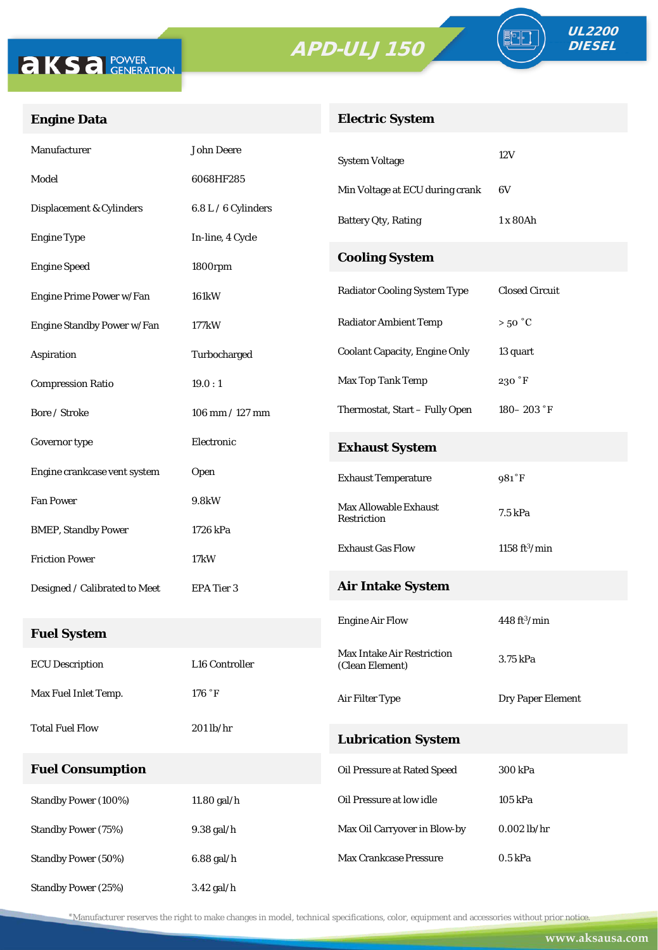



FO

# **Engine Data**

# **Electric System**

| Manufacturer                  | <b>John Deere</b>   | <b>System Voltage</b>                | 12V                        |  |
|-------------------------------|---------------------|--------------------------------------|----------------------------|--|
| Model                         | 6068HF285           | Min Voltage at ECU during crank      | 6V                         |  |
| Displacement & Cylinders      | 6.8 L / 6 Cylinders | <b>Battery Qty, Rating</b>           | 1 x 80Ah                   |  |
| <b>Engine Type</b>            | In-line, 4 Cycle    |                                      |                            |  |
| <b>Engine Speed</b>           | 1800rpm             | <b>Cooling System</b>                |                            |  |
| Engine Prime Power w/Fan      | 161kW               | <b>Radiator Cooling System Type</b>  | <b>Closed Circuit</b>      |  |
| Engine Standby Power w/Fan    | 177kW               | <b>Radiator Ambient Temp</b>         | $>50\ ^{\circ}\mathrm{C}$  |  |
| Aspiration                    | Turbocharged        | <b>Coolant Capacity, Engine Only</b> | 13 quart                   |  |
| <b>Compression Ratio</b>      | 19.0:1              | Max Top Tank Temp                    | 230 °F                     |  |
| Bore / Stroke                 | $106$ mm $/ 127$ mm | Thermostat, Start - Fully Open       | $180 - 203$ $\degree$ F    |  |
| Governor type                 | Electronic          | <b>Exhaust System</b>                |                            |  |
| Engine crankcase vent system  | Open                | <b>Exhaust Temperature</b>           | 981°F                      |  |
| <b>Fan Power</b>              | 9.8kW               | <b>Max Allowable Exhaust</b>         | 7.5 kPa                    |  |
| <b>BMEP, Standby Power</b>    | 1726 kPa            | Restriction                          |                            |  |
| <b>Friction Power</b>         | 17 <sub>k</sub> W   | <b>Exhaust Gas Flow</b>              | 1158 $ft^3/min$            |  |
| Designed / Calibrated to Meet | EPA Tier 3          | <b>Air Intake System</b>             |                            |  |
|                               |                     | <b>Engine Air Flow</b>               | $448 \, \mathrm{ft^3/min}$ |  |
| <b>Fuel System</b>            |                     | Max Intake Air Restriction           | 3.75 kPa                   |  |
| <b>ECU</b> Description        | L16 Controller      | (Clean Element)                      |                            |  |
| Max Fuel Inlet Temp.          | 176 °F              | Air Filter Type                      | <b>Dry Paper Element</b>   |  |
| <b>Total Fuel Flow</b>        | $201$ lb/hr         | <b>Lubrication System</b>            |                            |  |
| <b>Fuel Consumption</b>       |                     | Oil Pressure at Rated Speed          | 300 kPa                    |  |
| Standby Power (100%)          | 11.80 gal/h         | Oil Pressure at low idle             | 105 kPa                    |  |
| <b>Standby Power (75%)</b>    | 9.38 gal/h          | Max Oil Carryover in Blow-by         | $0.002$ lb/hr              |  |
| <b>Standby Power (50%)</b>    | $6.88$ gal/h        | Max Crankcase Pressure               | $0.5$ kPa                  |  |
| <b>Standby Power (25%)</b>    | 3.42 gal/h          |                                      |                            |  |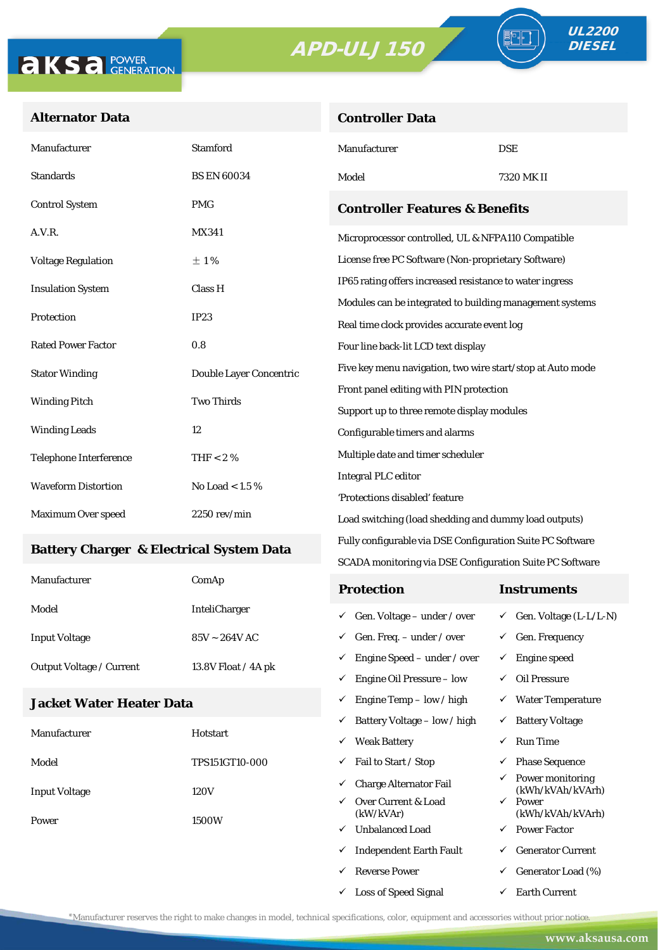**Controller Data**



### **Alternator Data**

| Manufacturer                                      | <b>Stamford</b>         | Manufacturer                                               | <b>DSE</b> |  |  |
|---------------------------------------------------|-------------------------|------------------------------------------------------------|------------|--|--|
| <b>Standards</b>                                  | <b>BS EN 60034</b>      | Model                                                      | 7320 MK II |  |  |
| <b>Control System</b>                             | <b>PMG</b>              | <b>Controller Features &amp; Benefits</b>                  |            |  |  |
| A.V.R.                                            | MX341                   | Microprocessor controlled, UL & NFPA110 Compatible         |            |  |  |
| <b>Voltage Regulation</b>                         | ±1%                     | License free PC Software (Non-proprietary Software)        |            |  |  |
| <b>Insulation System</b>                          | Class H                 | IP65 rating offers increased resistance to water ingress   |            |  |  |
|                                                   |                         | Modules can be integrated to building management systems   |            |  |  |
| Protection                                        | IP23                    | Real time clock provides accurate event log                |            |  |  |
| <b>Rated Power Factor</b>                         | 0.8                     | Four line back-lit LCD text display                        |            |  |  |
| <b>Stator Winding</b>                             | Double Layer Concentric | Five key menu navigation, two wire start/stop at Auto mode |            |  |  |
|                                                   |                         | Front panel editing with PIN protection                    |            |  |  |
| <b>Winding Pitch</b>                              | <b>Two Thirds</b>       | Support up to three remote display modules                 |            |  |  |
| <b>Winding Leads</b>                              | 12                      | Configurable timers and alarms                             |            |  |  |
| <b>Telephone Interference</b>                     | THF $< 2 \%$            | Multiple date and timer scheduler                          |            |  |  |
| <b>Waveform Distortion</b><br>No Load $<1.5$ $\%$ |                         | <b>Integral PLC editor</b>                                 |            |  |  |
|                                                   |                         | 'Protections disabled' feature                             |            |  |  |
| Maximum Over speed                                | $2250$ rev/min          | Load switching (load shedding and dummy load outputs)      |            |  |  |

#### **Battery Charger & Electrical System Data**

| Manufacturer                    | ComAp                | <b>Protection</b>                         | Instruments                         |
|---------------------------------|----------------------|-------------------------------------------|-------------------------------------|
| Model                           | <b>InteliCharger</b> | $\checkmark$ Gen. Voltage – under / over  | $\checkmark$ Gen. Voltage (L-L/L-N) |
| <b>Input Voltage</b>            | $85V - 264V$ AC      | $\checkmark$ Gen. Freq. – under / over    | $\checkmark$ Gen. Frequency         |
| <b>Output Voltage / Current</b> | 13.8V Float / 4A pk  | $\checkmark$ Engine Speed – under / over  | Engine speed                        |
|                                 |                      | Engine Oil Pressure – low<br>$\checkmark$ | Oil Pressure                        |

Fully configurable via DSE Configuration Suite PC Software SCADA monitoring via DSE Configuration Suite PC Software

 $\checkmark$  Engine Temp – low / high  $\checkmark$  Water Temperature

 $\checkmark$  Loss of Speed Signal  $\checkmark$  Earth Current

#### **Jacket Water Heater Data**

|                      |                       | ✓                                | Battery Voltage – low / high   | $\checkmark$              | <b>Battery Voltage</b>               |
|----------------------|-----------------------|----------------------------------|--------------------------------|---------------------------|--------------------------------------|
| Manufacturer         | Hotstart              | ✓                                | <b>Weak Battery</b>            | ✓                         | <b>Run Time</b>                      |
| Model                | <b>TPS151GT10-000</b> | ✓                                | Fail to Start / Stop           | ✓                         | <b>Phase Sequence</b>                |
| <b>Input Voltage</b> | 120V                  | ✓                                | <b>Charge Alternator Fail</b>  | ✓                         | Power monitoring<br>(kWh/kVAh/kVArh) |
|                      | ✓<br>1500W<br>✓       | Over Current & Load<br>(kW/kVAr) | $\checkmark$                   | Power<br>(kWh/kVAh/kVArh) |                                      |
| Power                |                       |                                  | <b>Unbalanced Load</b>         | $\checkmark$              | <b>Power Factor</b>                  |
|                      |                       | ✓                                | <b>Independent Earth Fault</b> | ✓                         | <b>Generator Current</b>             |
|                      |                       |                                  | <b>Reverse Power</b>           | ✓                         | Generator Load (%)                   |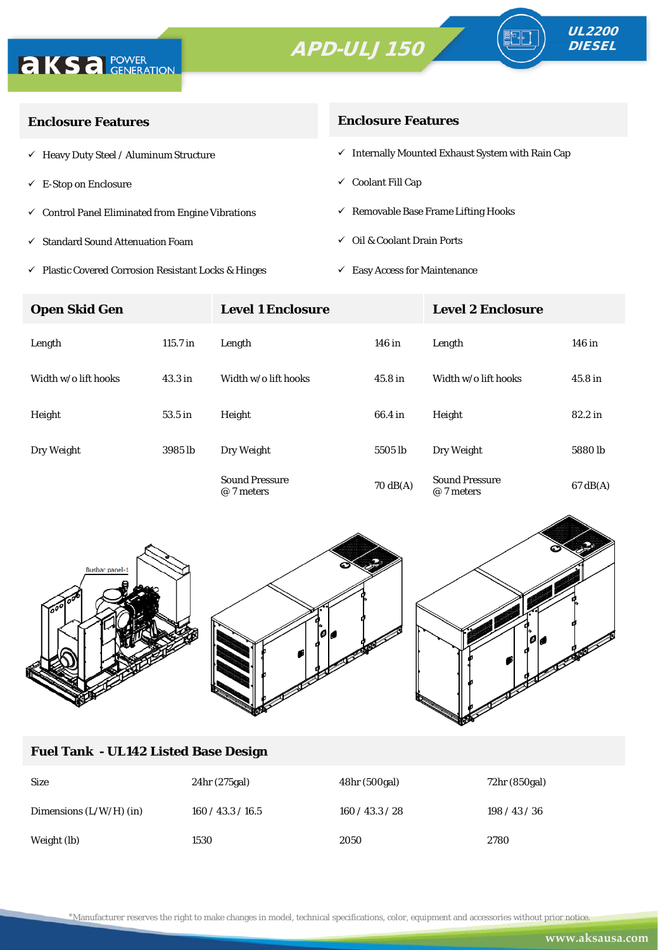



∘⊪

| <b>Enclosure Features</b>                                    | <b>Enclosure Features</b>                                    |  |  |
|--------------------------------------------------------------|--------------------------------------------------------------|--|--|
| $\checkmark$ Heavy Duty Steel / Aluminum Structure           | $\checkmark$ Internally Mounted Exhaust System with Rain Cap |  |  |
| $\checkmark$ E-Stop on Enclosure                             | $\checkmark$ Coolant Fill Cap                                |  |  |
| $\checkmark$ Control Panel Eliminated from Engine Vibrations | $\checkmark$ Removable Base Frame Lifting Hooks              |  |  |
| $\checkmark$ Standard Sound Attenuation Foam                 | $\checkmark$ Oil & Coolant Drain Ports                       |  |  |
|                                                              |                                                              |  |  |

- $\checkmark$ Plastic Covered Corrosion Resistant Locks & Hinges
- $\checkmark$  Easy Access for Maintenance

| <b>Open Skid Gen</b> |                    | <b>Level 1 Enclosure</b>            |                    | <b>Level 2 Enclosure</b>            |                    |  |
|----------------------|--------------------|-------------------------------------|--------------------|-------------------------------------|--------------------|--|
| Length               | $115.7$ in         | Length                              | 146 in             | Length                              | 146 in             |  |
| Width w/o lift hooks | 43.3 <sub>in</sub> | Width w/o lift hooks                | 45.8 <sub>in</sub> | Width w/o lift hooks                | 45.8 in            |  |
| Height               | 53.5 in            | Height                              | 66.4 in            | Height                              | 82.2 in            |  |
| Dry Weight           | 3985 lb            | Dry Weight                          | 5505 lb            | Dry Weight                          | 5880 <sub>lb</sub> |  |
|                      |                    | <b>Sound Pressure</b><br>@ 7 meters | $70 \text{ dB(A)}$ | <b>Sound Pressure</b><br>@ 7 meters | $67 \text{ dB}(A)$ |  |



### **Fuel Tank - UL142 Listed Base Design**

| <b>Size</b>               | 24hr (275gal)     | 48hr (500gal) | 72hr (850gal) |
|---------------------------|-------------------|---------------|---------------|
| Dimensions $(L/W/H)$ (in) | 160 / 43.3 / 16.5 | 160/43.3/28   | 198/43/36     |
| Weight (lb)               | 1530              | 2050          | 2780          |